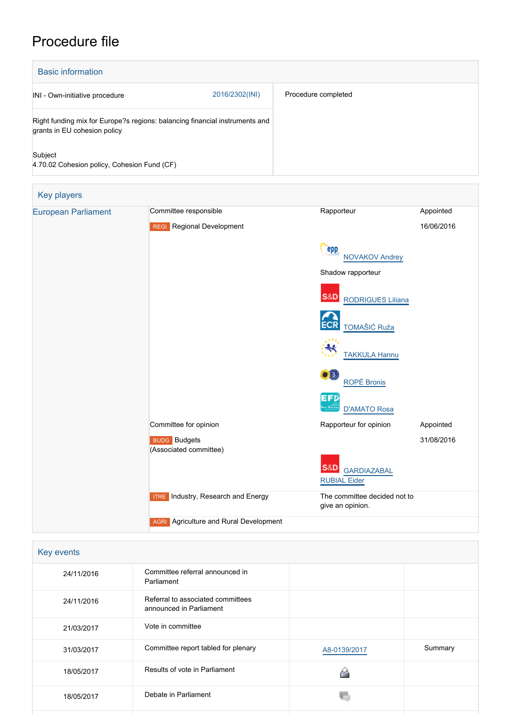## Procedure file

| <b>Basic information</b>                                                                                    |                |                     |
|-------------------------------------------------------------------------------------------------------------|----------------|---------------------|
| INI - Own-initiative procedure                                                                              | 2016/2302(INI) | Procedure completed |
| Right funding mix for Europe?s regions: balancing financial instruments and<br>grants in EU cohesion policy |                |                     |
| Subject<br>4.70.02 Cohesion policy, Cohesion Fund (CF)                                                      |                |                     |

| <b>European Parliament</b> | Committee responsible                         | Rapporteur                                        | Appointed  |
|----------------------------|-----------------------------------------------|---------------------------------------------------|------------|
|                            | <b>REGI</b> Regional Development              |                                                   | 16/06/2016 |
|                            |                                               | <b>PPP</b><br><b>NOVAKOV Andrey</b>               |            |
|                            |                                               | Shadow rapporteur                                 |            |
|                            |                                               | <b>S&amp;D</b><br><b>RODRIGUES Liliana</b>        |            |
|                            |                                               | <b>ECR</b><br>TOMAŠIĆ Ruža                        |            |
|                            |                                               | <b>TAKKULA Hannu</b>                              |            |
|                            |                                               | $\bullet$ $\bullet$<br><b>ROPĖ Bronis</b>         |            |
|                            |                                               | EFD<br><b>D'AMATO Rosa</b>                        |            |
|                            | Committee for opinion                         | Rapporteur for opinion                            | Appointed  |
|                            | <b>BUDG</b> Budgets<br>(Associated committee) |                                                   | 31/08/2016 |
|                            |                                               | S&D <br><b>GARDIAZABAL</b><br><b>RUBIAL Eider</b> |            |
|                            | <b>ITRE</b> Industry, Research and Energy     | The committee decided not to<br>give an opinion.  |            |

| Key events |                                                              |              |         |
|------------|--------------------------------------------------------------|--------------|---------|
| 24/11/2016 | Committee referral announced in<br>Parliament                |              |         |
| 24/11/2016 | Referral to associated committees<br>announced in Parliament |              |         |
| 21/03/2017 | Vote in committee                                            |              |         |
| 31/03/2017 | Committee report tabled for plenary                          | A8-0139/2017 | Summary |
| 18/05/2017 | Results of vote in Parliament                                |              |         |
| 18/05/2017 | Debate in Parliament                                         |              |         |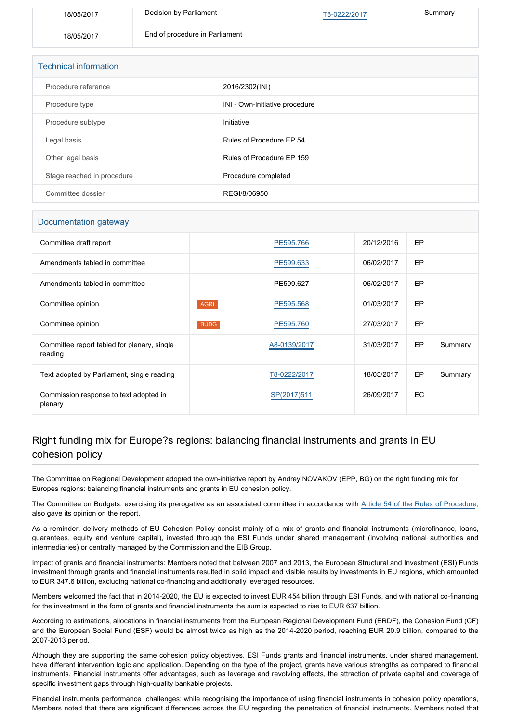| 18/05/2017 | Decision by Parliament         | T8-0222/2017 | Summary |
|------------|--------------------------------|--------------|---------|
| 18/05/2017 | End of procedure in Parliament |              |         |

| <b>Technical information</b> |                                |  |  |
|------------------------------|--------------------------------|--|--|
| Procedure reference          | 2016/2302(INI)                 |  |  |
| Procedure type               | INI - Own-initiative procedure |  |  |
| Procedure subtype            | Initiative                     |  |  |
| Legal basis                  | Rules of Procedure EP 54       |  |  |
| Other legal basis            | Rules of Procedure EP 159      |  |  |
| Stage reached in procedure   | Procedure completed            |  |  |
| Committee dossier            | REGI/8/06950                   |  |  |

## Documentation gateway

| Committee draft report                                 |             | PE595.766    | 20/12/2016 | <b>EP</b> |         |
|--------------------------------------------------------|-------------|--------------|------------|-----------|---------|
| Amendments tabled in committee                         |             | PE599.633    | 06/02/2017 | EP        |         |
| Amendments tabled in committee                         |             | PE599.627    | 06/02/2017 | EP        |         |
| Committee opinion                                      | <b>AGRI</b> | PE595.568    | 01/03/2017 | EP        |         |
| Committee opinion                                      | <b>BUDG</b> | PE595.760    | 27/03/2017 | EP        |         |
| Committee report tabled for plenary, single<br>reading |             | A8-0139/2017 | 31/03/2017 | EP        | Summary |
| Text adopted by Parliament, single reading             |             | T8-0222/2017 | 18/05/2017 | EP        | Summary |
| Commission response to text adopted in<br>plenary      |             | SP(2017)511  | 26/09/2017 | EC        |         |

## Right funding mix for Europe?s regions: balancing financial instruments and grants in EU cohesion policy

The Committee on Regional Development adopted the own-initiative report by Andrey NOVAKOV (EPP, BG) on the right funding mix for Europes regions: balancing financial instruments and grants in EU cohesion policy.

The Committee on Budgets, exercising its prerogative as an associated committee in accordance with [Article 54 of the Rules of Procedure](http://www.europarl.europa.eu/sides/getDoc.do?pubRef=-//EP//TEXT+RULES-EP+20140701+RULE-054+DOC+XML+V0//FR&navigationBar=YES), also gave its opinion on the report.

As a reminder, delivery methods of EU Cohesion Policy consist mainly of a mix of grants and financial instruments (microfinance, loans, guarantees, equity and venture capital), invested through the ESI Funds under shared management (involving national authorities and intermediaries) or centrally managed by the Commission and the EIB Group.

Impact of grants and financial instruments: Members noted that between 2007 and 2013, the European Structural and Investment (ESI) Funds investment through grants and financial instruments resulted in solid impact and visible results by investments in EU regions, which amounted to EUR 347.6 billion, excluding national co-financing and additionally leveraged resources.

Members welcomed the fact that in 2014-2020, the EU is expected to invest EUR 454 billion through ESI Funds, and with national co-financing for the investment in the form of grants and financial instruments the sum is expected to rise to EUR 637 billion.

According to estimations, allocations in financial instruments from the European Regional Development Fund (ERDF), the Cohesion Fund (CF) and the European Social Fund (ESF) would be almost twice as high as the 2014-2020 period, reaching EUR 20.9 billion, compared to the 2007-2013 period.

Although they are supporting the same cohesion policy objectives, ESI Funds grants and financial instruments, under shared management, have different intervention logic and application. Depending on the type of the project, grants have various strengths as compared to financial instruments. Financial instruments offer advantages, such as leverage and revolving effects, the attraction of private capital and coverage of specific investment gaps through high-quality bankable projects.

Financial instruments performance challenges: while recognising the importance of using financial instruments in cohesion policy operations, Members noted that there are significant differences across the EU regarding the penetration of financial instruments. Members noted that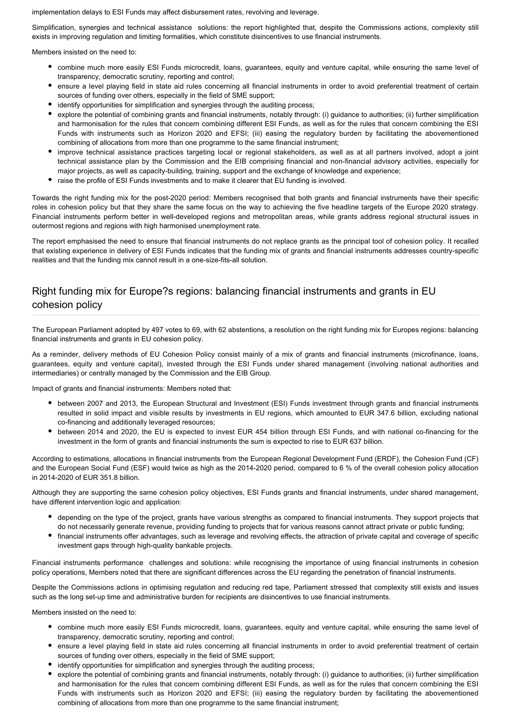implementation delays to ESI Funds may affect disbursement rates, revolving and leverage.

Simplification, synergies and technical assistance solutions: the report highlighted that, despite the Commissions actions, complexity still exists in improving regulation and limiting formalities, which constitute disincentives to use financial instruments.

Members insisted on the need to:

- combine much more easily ESI Funds microcredit, loans, guarantees, equity and venture capital, while ensuring the same level of transparency, democratic scrutiny, reporting and control;
- ensure a level playing field in state aid rules concerning all financial instruments in order to avoid preferential treatment of certain sources of funding over others, especially in the field of SME support;
- identify opportunities for simplification and synergies through the auditing process;
- explore the potential of combining grants and financial instruments, notably through: (i) guidance to authorities; (ii) further simplification and harmonisation for the rules that concern combining different ESI Funds, as well as for the rules that concern combining the ESI Funds with instruments such as Horizon 2020 and EFSI; (iii) easing the regulatory burden by facilitating the abovementioned combining of allocations from more than one programme to the same financial instrument;
- improve technical assistance practices targeting local or regional stakeholders, as well as at all partners involved, adopt a joint technical assistance plan by the Commission and the EIB comprising financial and non-financial advisory activities, especially for major projects, as well as capacity-building, training, support and the exchange of knowledge and experience;
- raise the profile of ESI Funds investments and to make it clearer that EU funding is involved.

Towards the right funding mix for the post-2020 period: Members recognised that both grants and financial instruments have their specific roles in cohesion policy but that they share the same focus on the way to achieving the five headline targets of the Europe 2020 strategy. Financial instruments perform better in well-developed regions and metropolitan areas, while grants address regional structural issues in outermost regions and regions with high harmonised unemployment rate.

The report emphasised the need to ensure that financial instruments do not replace grants as the principal tool of cohesion policy. It recalled that existing experience in delivery of ESI Funds indicates that the funding mix of grants and financial instruments addresses country-specific realities and that the funding mix cannot result in a one-size-fits-all solution.

## Right funding mix for Europe?s regions: balancing financial instruments and grants in EU cohesion policy

The European Parliament adopted by 497 votes to 69, with 62 abstentions, a resolution on the right funding mix for Europes regions: balancing financial instruments and grants in EU cohesion policy.

As a reminder, delivery methods of EU Cohesion Policy consist mainly of a mix of grants and financial instruments (microfinance, loans, guarantees, equity and venture capital), invested through the ESI Funds under shared management (involving national authorities and intermediaries) or centrally managed by the Commission and the EIB Group.

Impact of grants and financial instruments: Members noted that:

- between 2007 and 2013, the European Structural and Investment (ESI) Funds investment through grants and financial instruments resulted in solid impact and visible results by investments in EU regions, which amounted to EUR 347.6 billion, excluding national co-financing and additionally leveraged resources;
- between 2014 and 2020, the EU is expected to invest EUR 454 billion through ESI Funds, and with national co-financing for the investment in the form of grants and financial instruments the sum is expected to rise to EUR 637 billion.

According to estimations, allocations in financial instruments from the European Regional Development Fund (ERDF), the Cohesion Fund (CF) and the European Social Fund (ESF) would twice as high as the 2014-2020 period, compared to 6 % of the overall cohesion policy allocation in 2014-2020 of EUR 351.8 billion.

Although they are supporting the same cohesion policy objectives, ESI Funds grants and financial instruments, under shared management, have different intervention logic and application:

- depending on the type of the project, grants have various strengths as compared to financial instruments. They support projects that do not necessarily generate revenue, providing funding to projects that for various reasons cannot attract private or public funding;
- financial instruments offer advantages, such as leverage and revolving effects, the attraction of private capital and coverage of specific investment gaps through high-quality bankable projects.

Financial instruments performance challenges and solutions: while recognising the importance of using financial instruments in cohesion policy operations, Members noted that there are significant differences across the EU regarding the penetration of financial instruments.

Despite the Commissions actions in optimising regulation and reducing red tape, Parliament stressed that complexity still exists and issues such as the long set-up time and administrative burden for recipients are disincentives to use financial instruments.

Members insisted on the need to:

- combine much more easily ESI Funds microcredit, loans, guarantees, equity and venture capital, while ensuring the same level of transparency, democratic scrutiny, reporting and control;
- ensure a level playing field in state aid rules concerning all financial instruments in order to avoid preferential treatment of certain sources of funding over others, especially in the field of SME support;
- identify opportunities for simplification and synergies through the auditing process;
- explore the potential of combining grants and financial instruments, notably through: (i) guidance to authorities; (ii) further simplification and harmonisation for the rules that concern combining different ESI Funds, as well as for the rules that concern combining the ESI Funds with instruments such as Horizon 2020 and EFSI; (iii) easing the regulatory burden by facilitating the abovementioned combining of allocations from more than one programme to the same financial instrument;